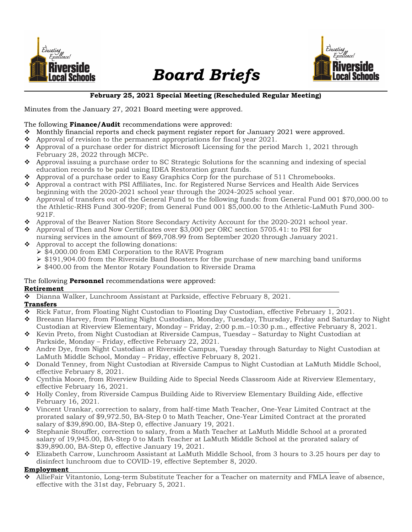

# Board Briefs



#### February 25, 2021 Special Meeting (Rescheduled Regular Meeting)

Minutes from the January 27, 2021 Board meeting were approved.

#### The following **Finance/Audit** recommendations were approved:

- Monthly financial reports and check payment register report for January 2021 were approved.
- $\bullet$  Approval of revision to the permanent appropriations for fiscal year 2021.
- $\bullet$  Approval of a purchase order for district Microsoft Licensing for the period March 1, 2021 through February 28, 2022 through MCPc.
- Approval issuing a purchase order to SC Strategic Solutions for the scanning and indexing of special education records to be paid using IDEA Restoration grant funds.
- $\bullet$  Approval of a purchase order to Easy Graphics Corp for the purchase of 511 Chromebooks.
- Approval a contract with PSI Affiliates, Inc. for Registered Nurse Services and Health Aide Services beginning with the 2020-2021 school year through the 2024-2025 school year.
- Approval of transfers out of the General Fund to the following funds: from General Fund 001 \$70,000.00 to the Athletic-RHS Fund 300-920F; from General Fund 001 \$5,000.00 to the Athletic-LaMuth Fund 300- 921F.
- Approval of the Beaver Nation Store Secondary Activity Account for the 2020-2021 school year.
- Approval of Then and Now Certificates over \$3,000 per ORC section 5705.41: to PSI for
- nursing services in the amount of \$69,708.99 from September 2020 through January 2021.
- Approval to accept the following donations:
	- $\geq$  \$4,000.00 from EMI Corporation to the RAVE Program
	- $\geq$  \$191,904.00 from the Riverside Band Boosters for the purchase of new marching band uniforms
	- $\geq$  \$400.00 from the Mentor Rotary Foundation to Riverside Drama

## The following **Personnel** recommendations were approved:

### Retirement

Dianna Walker, Lunchroom Assistant at Parkside, effective February 8, 2021.

## **Transfers**

- Rick Fatur, from Floating Night Custodian to Floating Day Custodian, effective February 1, 2021.
- Breeann Harvey, from Floating Night Custodian, Monday, Tuesday, Thursday, Friday and Saturday to Night Custodian at Riverview Elementary, Monday – Friday, 2:00 p.m.–10:30 p.m., effective February 8, 2021.
- \* Kevin Preto, from Night Custodian at Riverside Campus, Tuesday Saturday to Night Custodian at Parkside, Monday – Friday, effective February 22, 2021.
- Andre Dye, from Night Custodian at Riverside Campus, Tuesday through Saturday to Night Custodian at LaMuth Middle School, Monday – Friday, effective February 8, 2021.
- ◆ Donald Tenney, from Night Custodian at Riverside Campus to Night Custodian at LaMuth Middle School, effective February 8, 2021.
- ◆ Cynthia Moore, from Riverview Building Aide to Special Needs Classroom Aide at Riverview Elementary, effective February 16, 2021.
- Holly Conley, from Riverside Campus Building Aide to Riverview Elementary Building Aide, effective February 16, 2021.
- Vincent Urankar, correction to salary, from half-time Math Teacher, One-Year Limited Contract at the prorated salary of \$9,972.50, BA-Step 0 to Math Teacher, One-Year Limited Contract at the prorated salary of \$39,890.00, BA-Step 0, effective January 19, 2021.
- Stephanie Stouffer, correction to salary, from a Math Teacher at LaMuth Middle School at a prorated salary of 19,945.00, BA-Step 0 to Math Teacher at LaMuth Middle School at the prorated salary of \$39,890.00, BA-Step 0, effective January 19, 2021.
- Elizabeth Carrow, Lunchroom Assistant at LaMuth Middle School, from 3 hours to 3.25 hours per day to disinfect lunchroom due to COVID-19, effective September 8, 2020.

#### Employment

 AllieFair Vitantonio, Long-term Substitute Teacher for a Teacher on maternity and FMLA leave of absence, effective with the 31st day, February 5, 2021.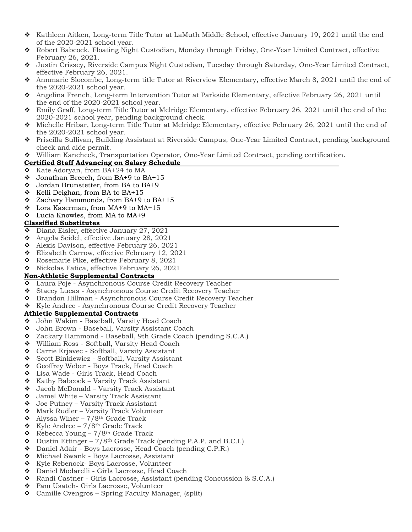- $\bullet$  Kathleen Aitken, Long-term Title Tutor at LaMuth Middle School, effective January 19, 2021 until the end of the 2020-2021 school year.
- Robert Babcock, Floating Night Custodian, Monday through Friday, One-Year Limited Contract, effective February 26, 2021.
- Justin Crissey, Riverside Campus Night Custodian, Tuesday through Saturday, One-Year Limited Contract, effective February 26, 2021.
- Annmarie Slocombe, Long-term title Tutor at Riverview Elementary, effective March 8, 2021 until the end of the 2020-2021 school year.
- Angelina French, Long-term Intervention Tutor at Parkside Elementary, effective February 26, 2021 until the end of the 2020-2021 school year.
- Emily Graff, Long-term Title Tutor at Melridge Elementary, effective February 26, 2021 until the end of the 2020-2021 school year, pending background check.
- Michelle Hribar, Long-term Title Tutor at Melridge Elementary, effective February 26, 2021 until the end of the 2020-2021 school year.
- Priscilla Sullivan, Building Assistant at Riverside Campus, One-Year Limited Contract, pending background check and aide permit.
- William Kancheck, Transportation Operator, One-Year Limited Contract, pending certification.
- Certified Staff Advancing on Salary Schedule
- $\div$  Kate Adoryan, from BA+24 to MA
- $\div$  Jonathan Breech, from BA+9 to BA+15
- Jordan Brunstetter, from BA to BA+9
- $\div$  Kelli Deighan, from BA to BA+15
- $\div$  Zachary Hammonds, from BA+9 to BA+15
- Lora Kaserman, from MA+9 to MA+15
- Lucia Knowles, from MA to MA+9

#### Classified Substitutes

- Diana Eisler, effective January 27, 2021
- $\bullet$  Angela Seidel, effective January 28, 2021
- \* Alexis Davison, effective February 26, 2021
- ◆ Elizabeth Carrow, effective February 12, 2021
- $\bullet$  Rosemarie Pike, effective February 8, 2021
- $\bullet$  Nickolas Fatica, effective February 26, 2021

#### Non-Athletic Supplemental Contracts

- Laura Poje Asynchronous Course Credit Recovery Teacher
- Stacey Lucas Asynchronous Course Credit Recovery Teacher
- ◆ Brandon Hillman Asynchronous Course Credit Recovery Teacher
- ◆ Kyle Andree Asynchronous Course Credit Recovery Teacher

#### Athletic Supplemental Contracts

- John Wakim Baseball, Varsity Head Coach
- John Brown Baseball, Varsity Assistant Coach
- Zackary Hammond Baseball, 9th Grade Coach (pending S.C.A.)
- William Ross Softball, Varsity Head Coach
- Carrie Erjavec Softball, Varsity Assistant
- Scott Binkiewicz Softball, Varsity Assistant
- Geoffrey Weber Boys Track, Head Coach
- ◆ Lisa Wade Girls Track, Head Coach
- $\triangleleft$  Kathy Babcock Varsity Track Assistant
- Jacob McDonald Varsity Track Assistant
- $\bullet$  Jamel White Varsity Track Assistant
- $\bullet$  Joe Putney Varsity Track Assistant
- ◆ Mark Rudler Varsity Track Volunteer
- $\triangleleft$  Alyssa Winer 7/8<sup>th</sup> Grade Track
- $\div$  Kyle Andree 7/8<sup>th</sup> Grade Track
- Rebecca Young  $7/8$ <sup>th</sup> Grade Track
- $\bullet$  Dustin Ettinger 7/8<sup>th</sup> Grade Track (pending P.A.P. and B.C.I.)
- ◆ Daniel Adair Boys Lacrosse, Head Coach (pending C.P.R.)
- Michael Swank Boys Lacrosse, Assistant
- ❖ Kyle Rebenock- Boys Lacrosse, Volunteer
- Daniel Modarelli Girls Lacrosse, Head Coach
- Randi Castner Girls Lacrosse, Assistant (pending Concussion & S.C.A.)
- ❖ Pam Usatch- Girls Lacrosse, Volunteer
- Camille Cvengros Spring Faculty Manager, (split)